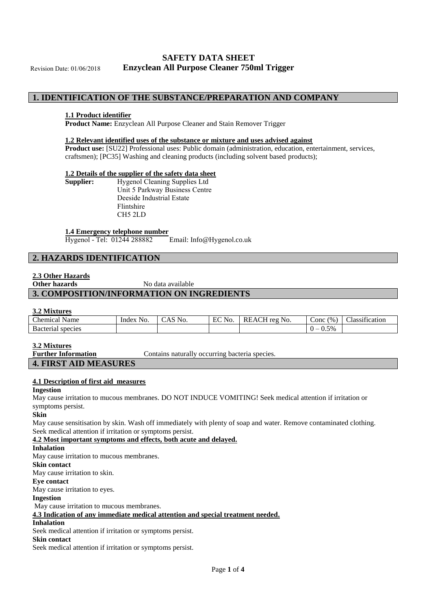# **SAFETY DATA SHEET Enzyclean All Purpose Cleaner 750ml Trigger**

Revision Date: 01/06/2018

# **1. IDENTIFICATION OF THE SUBSTANCE/PREPARATION AND COMPANY**

#### **1.1 Product identifier**

**Product Name:** Enzyclean All Purpose Cleaner and Stain Remover Trigger

#### **1.2 Relevant identified uses of the substance or mixture and uses advised against**

**Product use:** [SU22] Professional uses: Public domain (administration, education, entertainment, services, craftsmen); [PC35] Washing and cleaning products (including solvent based products);

#### **1.2 Details of the supplier of the safety data sheet**

| Supplier: | <b>Hygenol Cleaning Supplies Ltd</b> |
|-----------|--------------------------------------|
|           | Unit 5 Parkway Business Centre       |
|           | Deeside Industrial Estate            |
|           | Flintshire                           |
|           | CH5 2LD                              |
|           |                                      |

#### **1.4 Emergency telephone number**

Hygenol - Tel: 01244 288882 Email: Info@Hygenol.co.uk

# **2. HAZARDS IDENTIFICATION**

### **2.3 Other Hazards**

**Other hazards** No data available

# **3. COMPOSITION/INFORMATION ON INGREDIENTS**

## **3.2 Mixtures**

| -----------------            |              |     |          |                                       |                               |                                                |
|------------------------------|--------------|-----|----------|---------------------------------------|-------------------------------|------------------------------------------------|
| $\sim$<br>- hemical.<br>Name | Index<br>NO. | No. | $FC$ No. | $. \n$<br><b>RF</b><br>reg No.<br>.A' | $^{(0)}$<br>$\sim$ onc $\sim$ | $\cdot$ $\sim$<br>$\sim$<br>sification<br>ass. |
| Bacteria<br>species          |              |     |          |                                       | 5%<br>—<br>ິ                  |                                                |
|                              |              |     |          |                                       |                               |                                                |

#### **3.2 Mixtures**

**Further Information** Contains naturally occurring bacteria species.

## **4. FIRST AID MEASURES**

#### **4.1 Description of first aid measures**

#### **Ingestion**

May cause irritation to mucous membranes. DO NOT INDUCE VOMITING! Seek medical attention if irritation or symptoms persist.

# **Skin**

May cause sensitisation by skin. Wash off immediately with plenty of soap and water. Remove contaminated clothing. Seek medical attention if irritation or symptoms persist.

**4.2 Most important symptoms and effects, both acute and delayed.**

### **Inhalation**

May cause irritation to mucous membranes.

#### **Skin contact**

May cause irritation to skin.

# **Eye contact**

May cause irritation to eyes.

# **Ingestion**

May cause irritation to mucous membranes.

# **4.3 Indication of any immediate medical attention and special treatment needed.**

# **Inhalation**

Seek medical attention if irritation or symptoms persist.

# **Skin contact**

Seek medical attention if irritation or symptoms persist.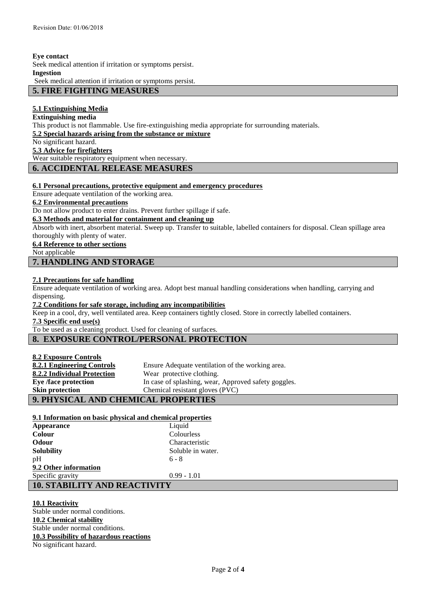**Eye contact** 

Seek medical attention if irritation or symptoms persist.

#### **Ingestion**

Seek medical attention if irritation or symptoms persist.

# **5. FIRE FIGHTING MEASURES**

# **5.1 Extinguishing Media**

**Extinguishing media** 

This product is not flammable. Use fire-extinguishing media appropriate for surrounding materials.

**5.2 Special hazards arising from the substance or mixture**

No significant hazard.

**5.3 Advice for firefighters**

Wear suitable respiratory equipment when necessary.

# **6. ACCIDENTAL RELEASE MEASURES**

### **6.1 Personal precautions, protective equipment and emergency procedures**

Ensure adequate ventilation of the working area.

**6.2 Environmental precautions**

Do not allow product to enter drains. Prevent further spillage if safe.

# **6.3 Methods and material for containment and cleaning up**

Absorb with inert, absorbent material. Sweep up. Transfer to suitable, labelled containers for disposal. Clean spillage area thoroughly with plenty of water.

## **6.4 Reference to other sections**

Not applicable

# **7. HANDLING AND STORAGE**

## **7.1 Precautions for safe handling**

Ensure adequate ventilation of working area. Adopt best manual handling considerations when handling, carrying and dispensing.

**7.2 Conditions for safe storage, including any incompatibilities**

Keep in a cool, dry, well ventilated area. Keep containers tightly closed. Store in correctly labelled containers.

**7.3 Specific end use(s)**

To be used as a cleaning product. Used for cleaning of surfaces.

# **8. EXPOSURE CONTROL/PERSONAL PROTECTION**

**8.2 Exposure Controls**

| 8.2.1 Engineering Controls          | Ensure Adequate ventilation of the working area.     |  |
|-------------------------------------|------------------------------------------------------|--|
| 8.2.2 Individual Protection         | Wear protective clothing.                            |  |
| Eye /face protection                | In case of splashing, wear, Approved safety goggles. |  |
| <b>Skin protection</b>              | Chemical resistant gloves (PVC)                      |  |
| 9. PHYSICAL AND CHEMICAL PROPERTIES |                                                      |  |

# **9. PHYSICAL AND CHEMICAL PROPERTIES**

| 9.1 Information on basic physical and chemical properties |                   |  |
|-----------------------------------------------------------|-------------------|--|
| <b>Appearance</b>                                         | Liquid            |  |
| <b>Colour</b>                                             | Colourless        |  |
| <b>Odour</b>                                              | Characteristic    |  |
| <b>Solubility</b>                                         | Soluble in water. |  |
| pH                                                        | $6 - 8$           |  |
| 9.2 Other information                                     |                   |  |
| Specific gravity                                          | $0.99 - 1.01$     |  |
| <b>10. STABILITY AND REACTIVITY</b>                       |                   |  |

## **10.1 Reactivity**

Stable under normal conditions. **10.2 Chemical stability** Stable under normal conditions. **10.3 Possibility of hazardous reactions** No significant hazard.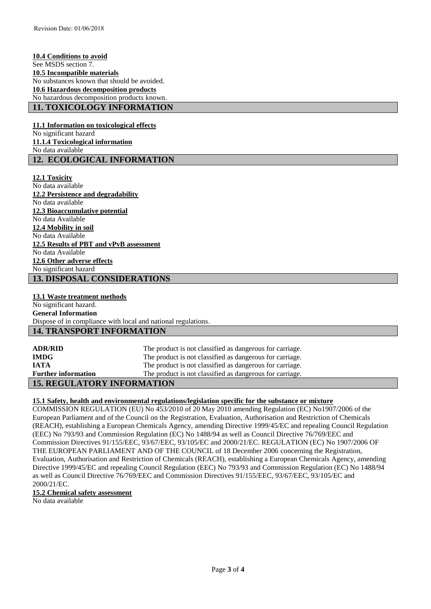**10.4 Conditions to avoid** See MSDS section 7. **10.5 Incompatible materials** No substances known that should be avoided. **10.6 Hazardous decomposition products** No hazardous decomposition products known. **11. TOXICOLOGY INFORMATION**

**11.1 Information on toxicological effects** No significant hazard **11.1.4 Toxicological information** No data available **12. ECOLOGICAL INFORMATION**

**12.1 Toxicity** No data available **12.2 Persistence and degradability** No data available **12.3 Bioaccumulative potential** No data Available **12.4 Mobility in soil** No data Available **12.5 Results of PBT and vPvB assessment** No data Available **12.6 Other adverse effects** No significant hazard **13. DISPOSAL CONSIDERATIONS**

# **13.1 Waste treatment methods**

No significant hazard. **General Information**  Dispose of in compliance with local and national regulations.

# **14. TRANSPORT INFORMATION**

| <b>ADR/RID</b>                    | The product is not classified as dangerous for carriage. |
|-----------------------------------|----------------------------------------------------------|
| <b>IMDG</b>                       | The product is not classified as dangerous for carriage. |
| <b>IATA</b>                       | The product is not classified as dangerous for carriage. |
| <b>Further information</b>        | The product is not classified as dangerous for carriage. |
| <b>15. REGULATORY INFORMATION</b> |                                                          |

# **15.1 Safety, health and environmental regulations/legislation specific for the substance or mixture**

COMMISSION REGULATION (EU) No 453/2010 of 20 May 2010 amending Regulation (EC) No1907/2006 of the European Parliament and of the Council on the Registration, Evaluation, Authorisation and Restriction of Chemicals (REACH), establishing a European Chemicals Agency, amending Directive 1999/45/EC and repealing Council Regulation (EEC) No 793/93 and Commission Regulation (EC) No 1488/94 as well as Council Directive 76/769/EEC and Commission Directives 91/155/EEC, 93/67/EEC, 93/105/EC and 2000/21/EC. REGULATION (EC) No 1907/2006 OF THE EUROPEAN PARLIAMENT AND OF THE COUNCIL of 18 December 2006 concerning the Registration, Evaluation, Authorisation and Restriction of Chemicals (REACH), establishing a European Chemicals Agency, amending Directive 1999/45/EC and repealing Council Regulation (EEC) No 793/93 and Commission Regulation (EC) No 1488/94 as well as Council Directive 76/769/EEC and Commission Directives 91/155/EEC, 93/67/EEC, 93/105/EC and 2000/21/EC.

#### **15.2 Chemical safety assessment**

No data available